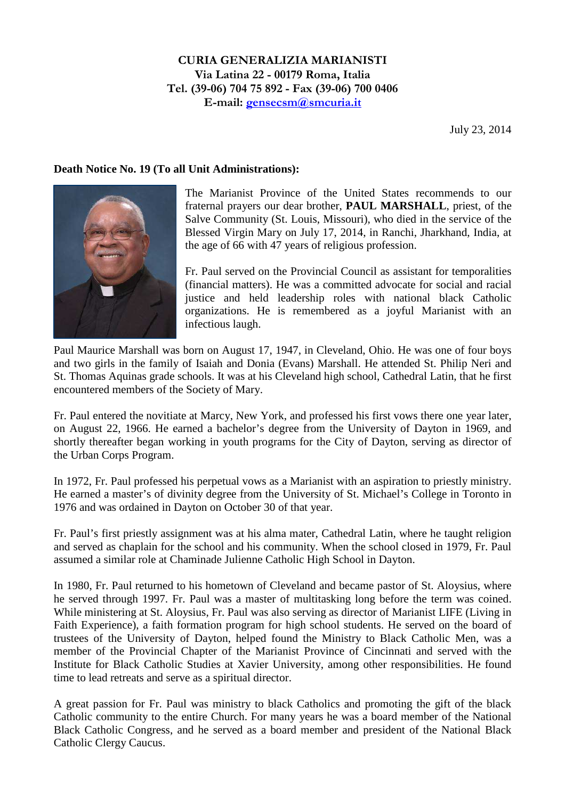July 23, 2014

## **Death Notice No. 19 (To all Unit Administrations):**



The Marianist Province of the United States recommends to our fraternal prayers our dear brother, **PAUL MARSHALL**, priest, of the Salve Community (St. Louis, Missouri), who died in the service of the Blessed Virgin Mary on July 17, 2014, in Ranchi, Jharkhand, India, at the age of 66 with 47 years of religious profession.

Fr. Paul served on the Provincial Council as assistant for temporalities (financial matters). He was a committed advocate for social and racial justice and held leadership roles with national black Catholic organizations. He is remembered as a joyful Marianist with an infectious laugh.

Paul Maurice Marshall was born on August 17, 1947, in Cleveland, Ohio. He was one of four boys and two girls in the family of Isaiah and Donia (Evans) Marshall. He attended St. Philip Neri and St. Thomas Aquinas grade schools. It was at his Cleveland high school, Cathedral Latin, that he first encountered members of the Society of Mary.

Fr. Paul entered the novitiate at Marcy, New York, and professed his first vows there one year later, on August 22, 1966. He earned a bachelor's degree from the University of Dayton in 1969, and shortly thereafter began working in youth programs for the City of Dayton, serving as director of the Urban Corps Program.

In 1972, Fr. Paul professed his perpetual vows as a Marianist with an aspiration to priestly ministry. He earned a master's of divinity degree from the University of St. Michael's College in Toronto in 1976 and was ordained in Dayton on October 30 of that year.

Fr. Paul's first priestly assignment was at his alma mater, Cathedral Latin, where he taught religion and served as chaplain for the school and his community. When the school closed in 1979, Fr. Paul assumed a similar role at Chaminade Julienne Catholic High School in Dayton.

In 1980, Fr. Paul returned to his hometown of Cleveland and became pastor of St. Aloysius, where he served through 1997. Fr. Paul was a master of multitasking long before the term was coined. While ministering at St. Aloysius, Fr. Paul was also serving as director of Marianist LIFE (Living in Faith Experience), a faith formation program for high school students. He served on the board of trustees of the University of Dayton, helped found the Ministry to Black Catholic Men, was a member of the Provincial Chapter of the Marianist Province of Cincinnati and served with the Institute for Black Catholic Studies at Xavier University, among other responsibilities. He found time to lead retreats and serve as a spiritual director.

A great passion for Fr. Paul was ministry to black Catholics and promoting the gift of the black Catholic community to the entire Church. For many years he was a board member of the National Black Catholic Congress, and he served as a board member and president of the National Black Catholic Clergy Caucus.